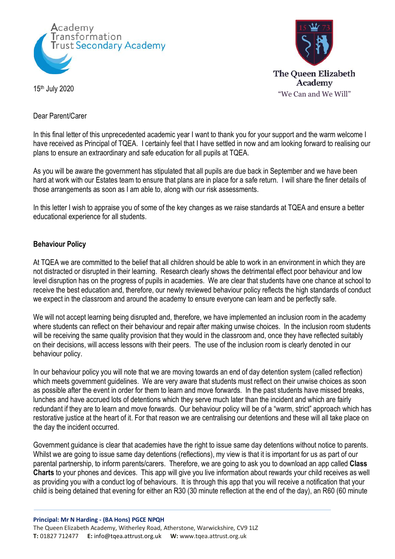



### Dear Parent/Carer

In this final letter of this unprecedented academic year I want to thank you for your support and the warm welcome I have received as Principal of TQEA. I certainly feel that I have settled in now and am looking forward to realising our plans to ensure an extraordinary and safe education for all pupils at TQEA.

As you will be aware the government has stipulated that all pupils are due back in September and we have been hard at work with our Estates team to ensure that plans are in place for a safe return. I will share the finer details of those arrangements as soon as I am able to, along with our risk assessments.

In this letter I wish to appraise you of some of the key changes as we raise standards at TQEA and ensure a better educational experience for all students.

#### **Behaviour Policy**

At TQEA we are committed to the belief that all children should be able to work in an environment in which they are not distracted or disrupted in their learning. Research clearly shows the detrimental effect poor behaviour and low level disruption has on the progress of pupils in academies. We are clear that students have one chance at school to receive the best education and, therefore, our newly reviewed behaviour policy reflects the high standards of conduct we expect in the classroom and around the academy to ensure everyone can learn and be perfectly safe.

We will not accept learning being disrupted and, therefore, we have implemented an inclusion room in the academy where students can reflect on their behaviour and repair after making unwise choices. In the inclusion room students will be receiving the same quality provision that they would in the classroom and, once they have reflected suitably on their decisions, will access lessons with their peers. The use of the inclusion room is clearly denoted in our behaviour policy.

In our behaviour policy you will note that we are moving towards an end of day detention system (called reflection) which meets government guidelines. We are very aware that students must reflect on their unwise choices as soon as possible after the event in order for them to learn and move forwards. In the past students have missed breaks, lunches and have accrued lots of detentions which they serve much later than the incident and which are fairly redundant if they are to learn and move forwards. Our behaviour policy will be of a "warm, strict" approach which has restorative justice at the heart of it. For that reason we are centralising our detentions and these will all take place on the day the incident occurred.

Government guidance is clear that academies have the right to issue same day detentions without notice to parents. Whilst we are going to issue same day detentions (reflections), my view is that it is important for us as part of our parental partnership, to inform parents/carers. Therefore, we are going to ask you to download an app called **Class Charts** to your phones and devices. This app will give you live information about rewards your child receives as well as providing you with a conduct log of behaviours. It is through this app that you will receive a notification that your child is being detained that evening for either an R30 (30 minute reflection at the end of the day), an R60 (60 minute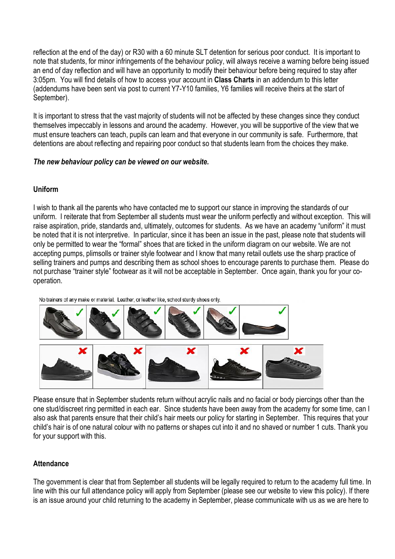reflection at the end of the day) or R30 with a 60 minute SLT detention for serious poor conduct. It is important to note that students, for minor infringements of the behaviour policy, will always receive a warning before being issued an end of day reflection and will have an opportunity to modify their behaviour before being required to stay after 3:05pm. You will find details of how to access your account in **Class Charts** in an addendum to this letter (addendums have been sent via post to current Y7-Y10 families, Y6 families will receive theirs at the start of September).

It is important to stress that the vast majority of students will not be affected by these changes since they conduct themselves impeccably in lessons and around the academy. However, you will be supportive of the view that we must ensure teachers can teach, pupils can learn and that everyone in our community is safe. Furthermore, that detentions are about reflecting and repairing poor conduct so that students learn from the choices they make.

## *The new behaviour policy can be viewed on our website.*

# **Uniform**

I wish to thank all the parents who have contacted me to support our stance in improving the standards of our uniform. I reiterate that from September all students must wear the uniform perfectly and without exception. This will raise aspiration, pride, standards and, ultimately, outcomes for students. As we have an academy "uniform" it must be noted that it is not interpretive. In particular, since it has been an issue in the past, please note that students will only be permitted to wear the "formal" shoes that are ticked in the uniform diagram on our website. We are not accepting pumps, plimsolls or trainer style footwear and I know that many retail outlets use the sharp practice of selling trainers and pumps and describing them as school shoes to encourage parents to purchase them. Please do not purchase "trainer style" footwear as it will not be acceptable in September. Once again, thank you for your cooperation.

No trainers of any make or material. Leather, or leather like, school sturdy shoes only.



Please ensure that in September students return without acrylic nails and no facial or body piercings other than the one stud/discreet ring permitted in each ear. Since students have been away from the academy for some time, can I also ask that parents ensure that their child's hair meets our policy for starting in September. This requires that your child's hair is of one natural colour with no patterns or shapes cut into it and no shaved or number 1 cuts. Thank you for your support with this.

# **Attendance**

The government is clear that from September all students will be legally required to return to the academy full time. In line with this our full attendance policy will apply from September (please see our website to view this policy). If there is an issue around your child returning to the academy in September, please communicate with us as we are here to